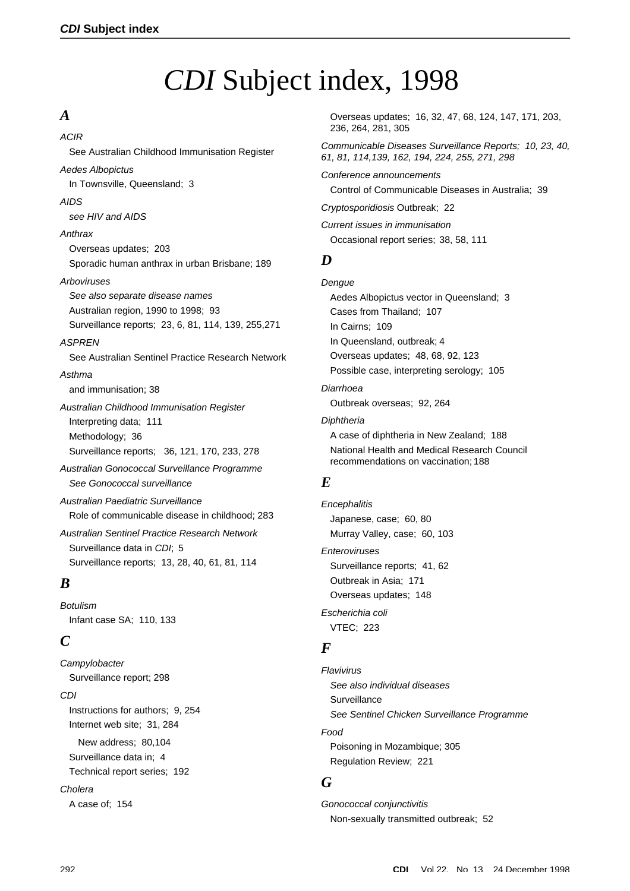# *CDI* Subject index, 1998

# *A*

*ACIR*

See Australian Childhood Immunisation Register

#### *Aedes Albopictus*

In Townsville, Queensland; 3

#### *AIDS*

*see HIV and AIDS*

#### *Anthrax*

Overseas updates; 203 Sporadic human anthrax in urban Brisbane; 189

#### *Arboviruses*

*See also separate disease names* Australian region, 1990 to 1998; 93 Surveillance reports; 23, 6, 81, 114, 139, 255,271

#### *ASPREN*

See Australian Sentinel Practice Research Network

#### *Asthma*

and immunisation; 38

*Australian Childhood Immunisation Register* Interpreting data; 111 Methodology; 36 Surveillance reports; 36, 121, 170, 233, 278

*Australian Gonococcal Surveillance Programme See Gonococcal surveillance*

*Australian Paediatric Surveillance* Role of communicable disease in childhood; 283

*Australian Sentinel Practice Research Network* Surveillance data in *CDI*; 5 Surveillance reports; 13, 28, 40, 61, 81, 114

# *B*

*Botulism* Infant case SA; 110, 133

# *C*

*Campylobacter* Surveillance report; 298 *CDI* Instructions for authors; 9, 254 Internet web site; 31, 284 New address; 80,104 Surveillance data in; 4 Technical report series; 192 *Cholera* A case of; 154

Overseas updates; 16, 32, 47, 68, 124, 147, 171, 203, 236, 264, 281, 305

*Communicable Diseases Surveillance Reports; 10, 23, 40, 61, 81, 114,139, 162, 194, 224, 255, 271, 298*

*Conference announcements*

Control of Communicable Diseases in Australia; 39

*Cryptosporidiosis* Outbreak; 22

*Current issues in immunisation* Occasional report series; 38, 58, 111

# *D*

*Dengue* Aedes Albopictus vector in Queensland; 3 Cases from Thailand; 107 In Cairns; 109 In Queensland, outbreak; 4 Overseas updates; 48, 68, 92, 123 Possible case, interpreting serology; 105

*Diarrhoea*  Outbreak overseas; 92, 264

#### *Diphtheria*

A case of diphtheria in New Zealand; 188 National Health and Medical Research Council recommendations on vaccination; 188

# *E*

*Encephalitis* Japanese, case; 60, 80 Murray Valley, case; 60, 103 *Enteroviruses*

Surveillance reports; 41, 62 Outbreak in Asia; 171 Overseas updates; 148 *Escherichia coli* VTEC; 223

*F*

*Flavivirus See also individual diseases* Surveillance *See Sentinel Chicken Surveillance Programme Food* Poisoning in Mozambique; 305 Regulation Review; 221

# *G*

*Gonococcal conjunctivitis* Non-sexually transmitted outbreak; 52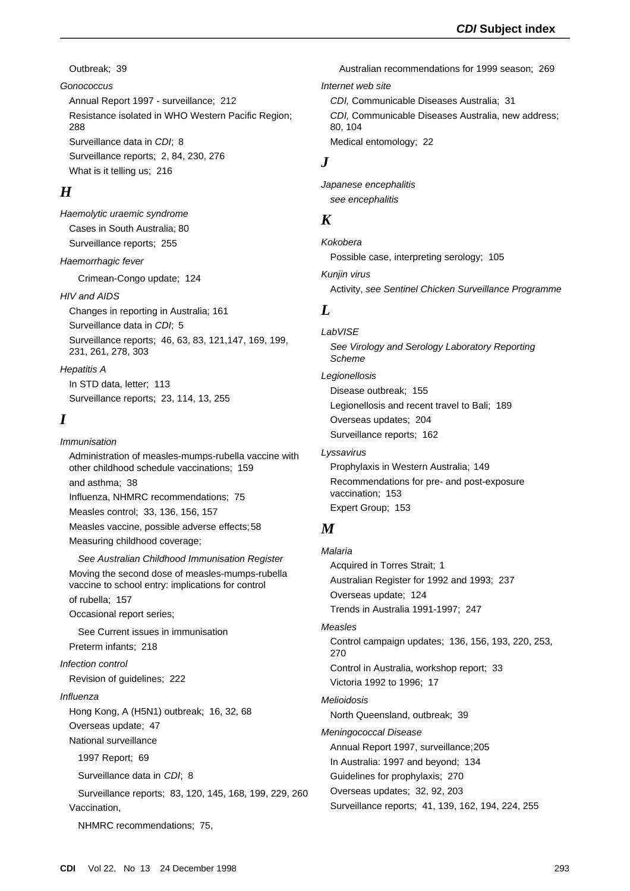Outbreak; 39

#### *Gonococcus*

Annual Report 1997 - surveillance; 212 Resistance isolated in WHO Western Pacific Region; 288 Surveillance data in *CDI*; 8 Surveillance reports; 2, 84, 230, 276 What is it telling us; 216

# *H*

*Haemolytic uraemic syndrome* Cases in South Australia; 80 Surveillance reports; 255

*Haemorrhagic fever*

Crimean-Congo update; 124

#### *HIV and AIDS*

Changes in reporting in Australia; 161 Surveillance data in *CDI*; 5 Surveillance reports; 46, 63, 83, 121,147, 169, 199, 231, 261, 278, 303

*Hepatitis A* In STD data, letter; 113 Surveillance reports; 23, 114, 13, 255

#### *I*

*Immunisation* Administration of measles-mumps-rubella vaccine with other childhood schedule vaccinations; 159 and asthma; 38 Influenza, NHMRC recommendations; 75 Measles control; 33, 136, 156, 157 Measles vaccine, possible adverse effects;58 Measuring childhood coverage; *See Australian Childhood Immunisation Register*

Moving the second dose of measles-mumps-rubella vaccine to school entry: implications for control of rubella; 157

Occasional report series;

See Current issues in immunisation Preterm infants; 218

#### *Infection control*

Revision of guidelines; 222

#### *Influenza*

Hong Kong, A (H5N1) outbreak; 16, 32, 68 Overseas update; 47

National surveillance

1997 Report; 69

Surveillance data in *CDI*; 8

Surveillance reports; 83, 120, 145, 168, 199, 229, 260 Vaccination,

NHMRC recommendations; 75,

Australian recommendations for 1999 season; 269 *Internet web site*

*CDI,* Communicable Diseases Australia; 31

*CDI,* Communicable Diseases Australia, new address; 80, 104

Medical entomology; 22

#### *J*

*Japanese encephalitis see encephalitis*

## *K*

*Kokobera* Possible case, interpreting serology; 105

*Kunjin virus* Activity, *see Sentinel Chicken Surveillance Programme*

#### *L*

# *LabVISE*

*See Virology and Serology Laboratory Reporting Scheme*

#### *Legionellosis*

Disease outbreak; 155 Legionellosis and recent travel to Bali; 189 Overseas updates; 204 Surveillance reports; 162

*Lyssavirus*

Prophylaxis in Western Australia; 149 Recommendations for pre- and post-exposure vaccination; 153 Expert Group; 153

## *M*

*Malaria* Acquired in Torres Strait; 1 Australian Register for 1992 and 1993; 237 Overseas update; 124 Trends in Australia 1991-1997; 247

### *Measles*

Control campaign updates; 136, 156, 193, 220, 253, 270 Control in Australia, workshop report; 33 Victoria 1992 to 1996; 17

#### *Melioidosis*

North Queensland, outbreak; 39

#### *Meningococcal Disease*

Annual Report 1997, surveillance;205 In Australia: 1997 and beyond; 134 Guidelines for prophylaxis; 270 Overseas updates; 32, 92, 203 Surveillance reports; 41, 139, 162, 194, 224, 255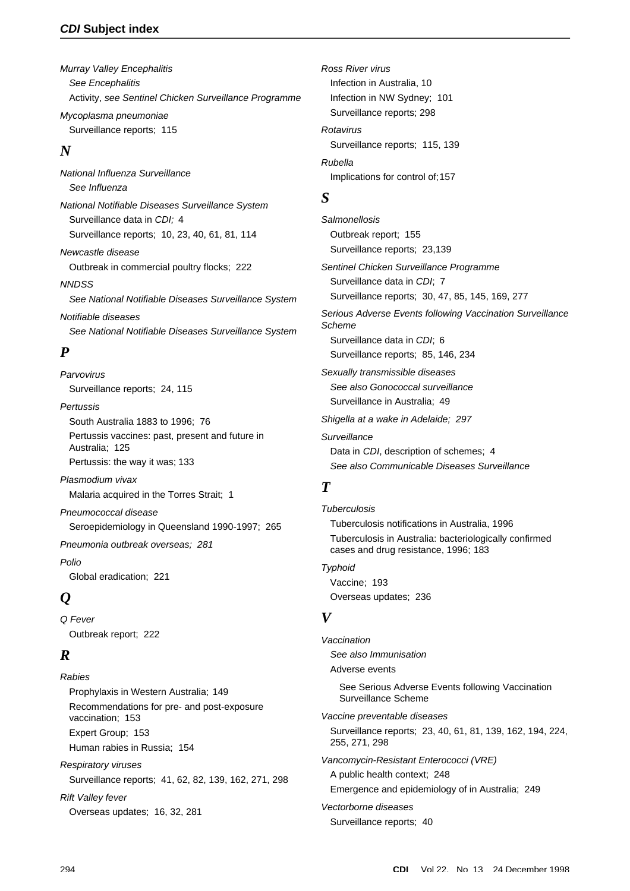### *CDI* **Subject index**

*Murray Valley Encephalitis See Encephalitis* Activity, *see Sentinel Chicken Surveillance Programme Mycoplasma pneumoniae* Surveillance reports; 115

# *N*

*National Influenza Surveillance See Influenza National Notifiable Diseases Surveillance System* Surveillance data in *CDI;* 4 Surveillance reports; 10, 23, 40, 61, 81, 114 *Newcastle disease* Outbreak in commercial poultry flocks; 222 *NNDSS See National Notifiable Diseases Surveillance System Notifiable diseases See National Notifiable Diseases Surveillance System*

# *P*

*Parvovirus* Surveillance reports; 24, 115

*Pertussis* South Australia 1883 to 1996; 76 Pertussis vaccines: past, present and future in Australia; 125 Pertussis: the way it was; 133

*Plasmodium vivax* Malaria acquired in the Torres Strait; 1 *Pneumococcal disease*

Seroepidemiology in Queensland 1990-1997; 265

*Pneumonia outbreak overseas; 281*

*Polio* Global eradication; 221

# *Q*

*Q Fever* Outbreak report; 222

# *R*

*Rabies* Prophylaxis in Western Australia; 149 Recommendations for pre- and post-exposure vaccination; 153 Expert Group; 153 Human rabies in Russia; 154 *Respiratory viruses*

Surveillance reports; 41, 62, 82, 139, 162, 271, 298

*Rift Valley fever* Overseas updates; 16, 32, 281 *Ross River virus* Infection in Australia, 10 Infection in NW Sydney; 101 Surveillance reports; 298 *Rotavirus* Surveillance reports; 115, 139 *Rubella* Implications for control of;157

# *S*

*Salmonellosis* Outbreak report; 155 Surveillance reports; 23,139

*Sentinel Chicken Surveillance Programme* Surveillance data in *CDI*; 7 Surveillance reports; 30, 47, 85, 145, 169, 277

*Serious Adverse Events following Vaccination Surveillance Scheme* Surveillance data in *CDI*; 6 Surveillance reports; 85, 146, 234

*Sexually transmissible diseases See also Gonococcal surveillance* Surveillance in Australia; 49

*Shigella at a wake in Adelaide; 297*

*Surveillance*  Data in *CDI*, description of schemes; 4 *See also Communicable Diseases Surveillance*

# *T*

*Tuberculosis* Tuberculosis notifications in Australia, 1996 Tuberculosis in Australia: bacteriologically confirmed cases and drug resistance, 1996; 183 *Typhoid* Vaccine; 193

Overseas updates; 236

# *V*

*Vaccination See also Immunisation* Adverse events See Serious Adverse Events following Vaccination Surveillance Scheme *Vaccine preventable diseases* Surveillance reports; 23, 40, 61, 81, 139, 162, 194, 224, 255, 271, 298 *Vancomycin-Resistant Enterococci (VRE)* A public health context; 248 Emergence and epidemiology of in Australia; 249 *Vectorborne diseases* Surveillance reports; 40